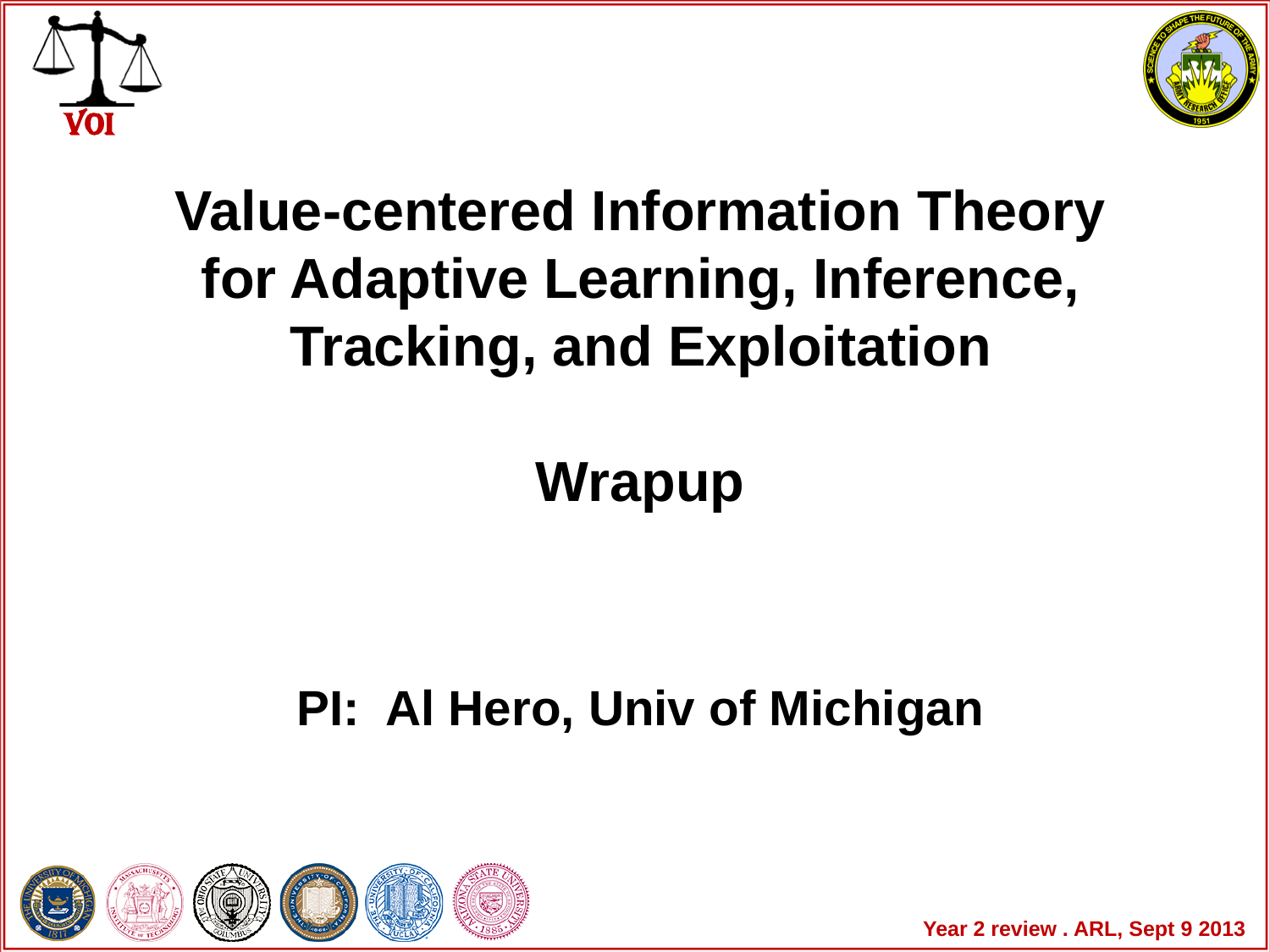



## **Value-centered Information Theory for Adaptive Learning, Inference, Tracking, and Exploitation**

**Wrapup**

## **PI: Al Hero, Univ of Michigan**



Year 2 review . ARL, Sept 9 2013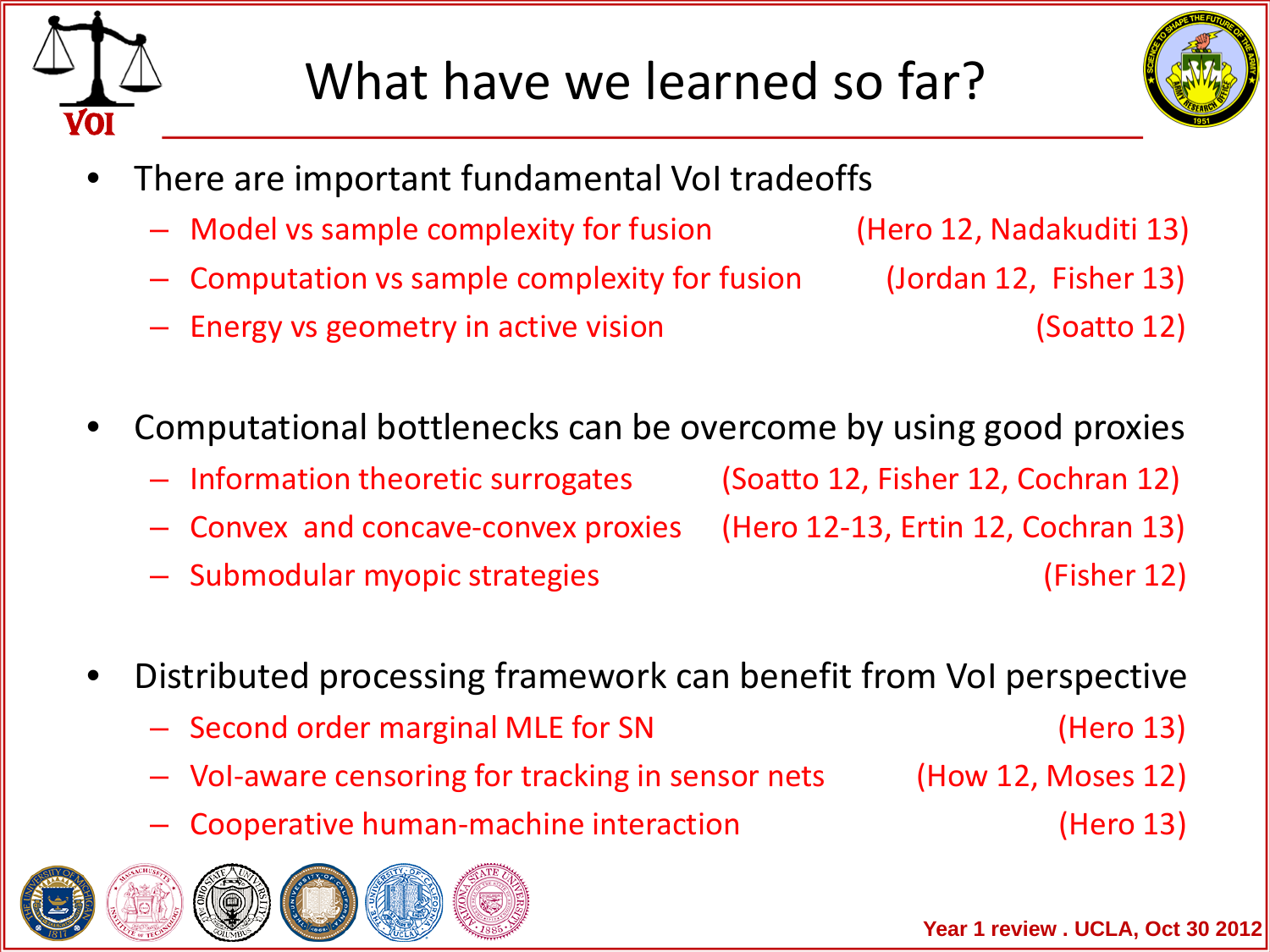



- There are important fundamental VoI tradeoffs
	- Model vs sample complexity for fusion (Hero 12, Nadakuditi 13)
	- Computation vs sample complexity for fusion (Jordan 12, Fisher 13)
	-
	- Energy vs geometry in active vision (Soatto 12)
- Computational bottlenecks can be overcome by using good proxies
	- Information theoretic surrogates (Soatto 12, Fisher 12, Cochran 12)
	- Convex and concave-convex proxies (Hero 12-13, Ertin 12, Cochran 13)
	- Submodular myopic strategies (Fisher 12)
- Distributed processing framework can benefit from VoI perspective
	- Second order marginal MLE for SN (Hero 13)
	- VoI-aware censoring for tracking in sensor nets (How 12, Moses 12)
		-
		- Cooperative human-machine interaction (Hero 13)



**Year 1 review . UCLA, Oct 30 2012**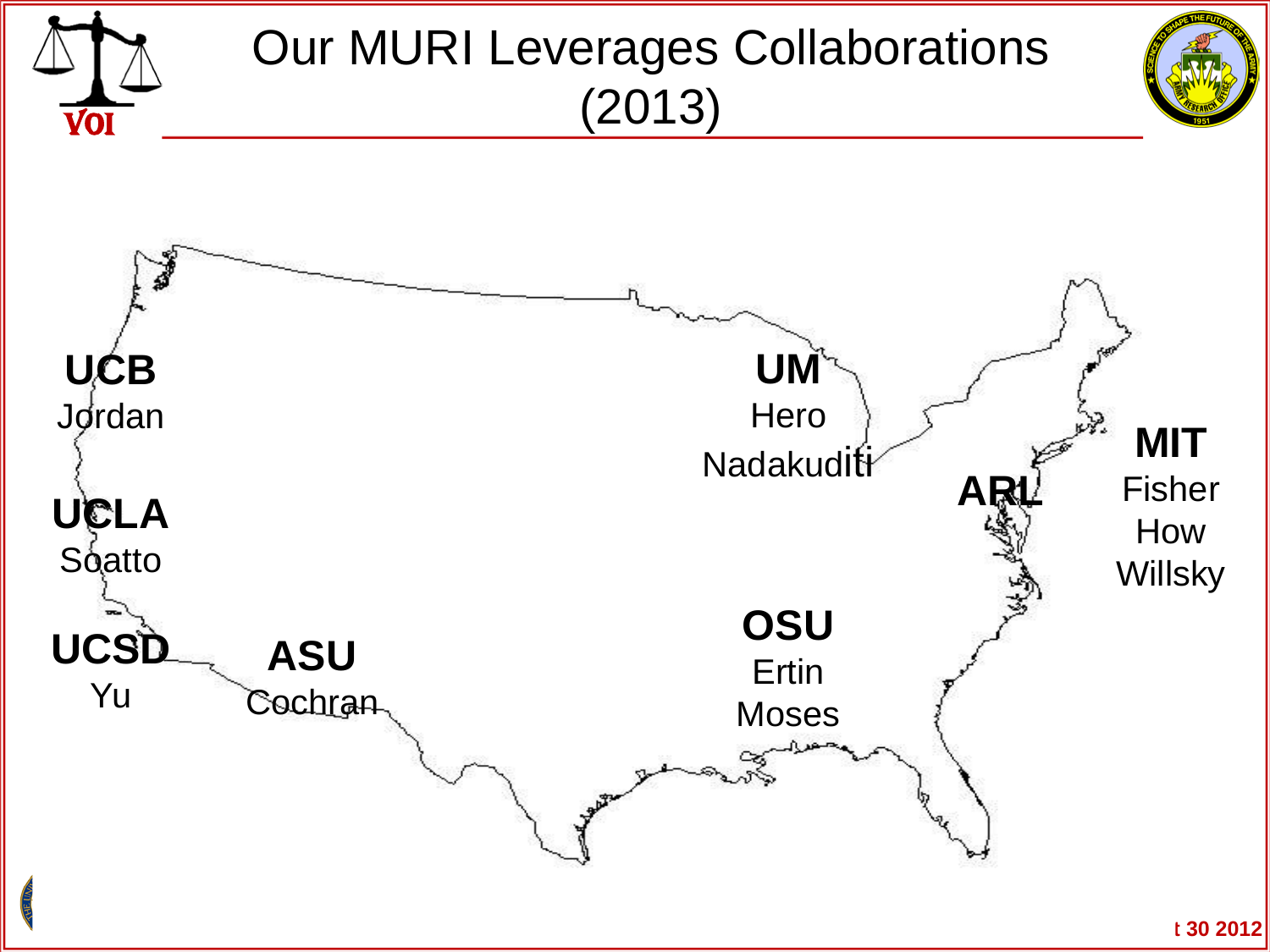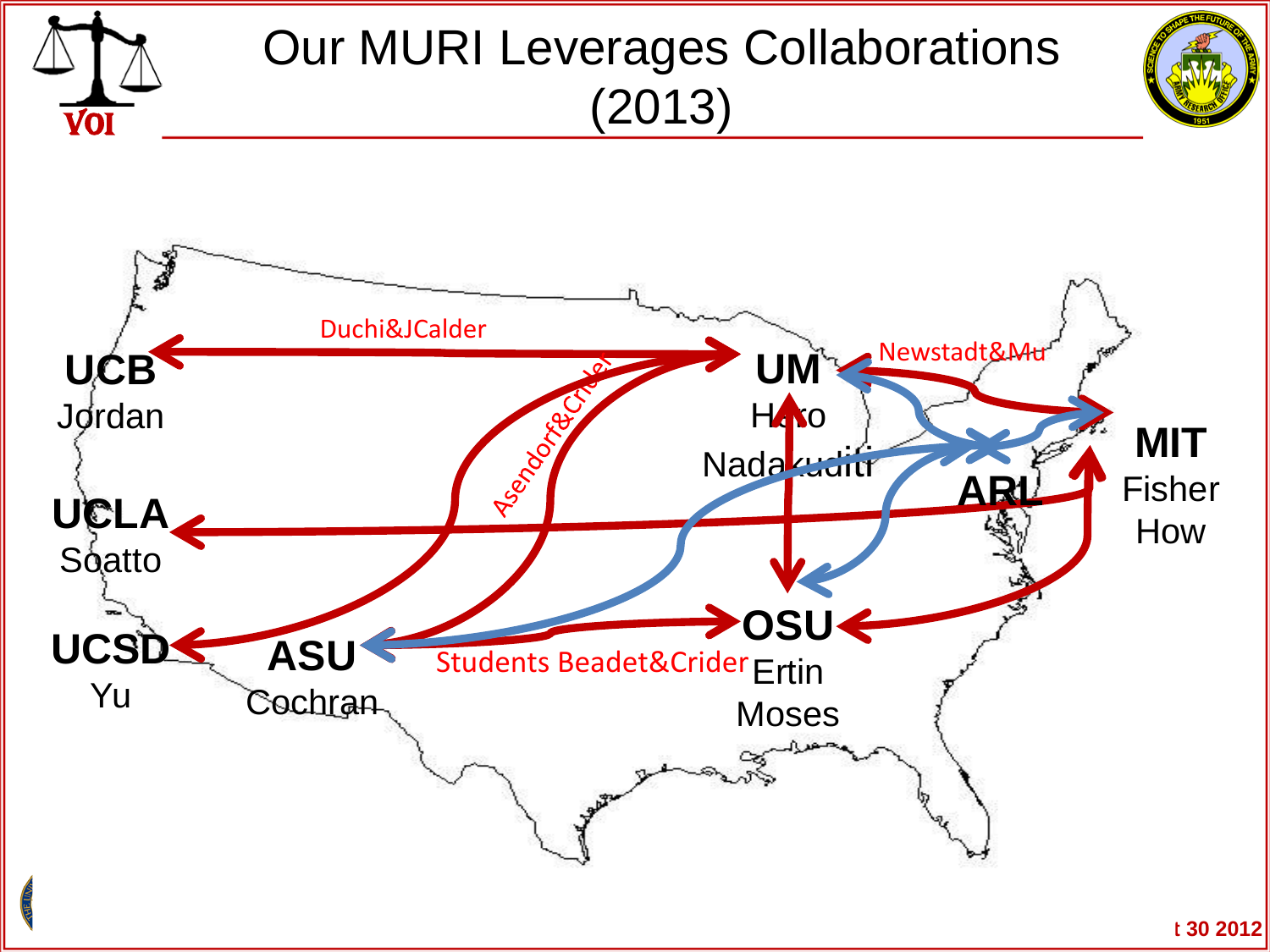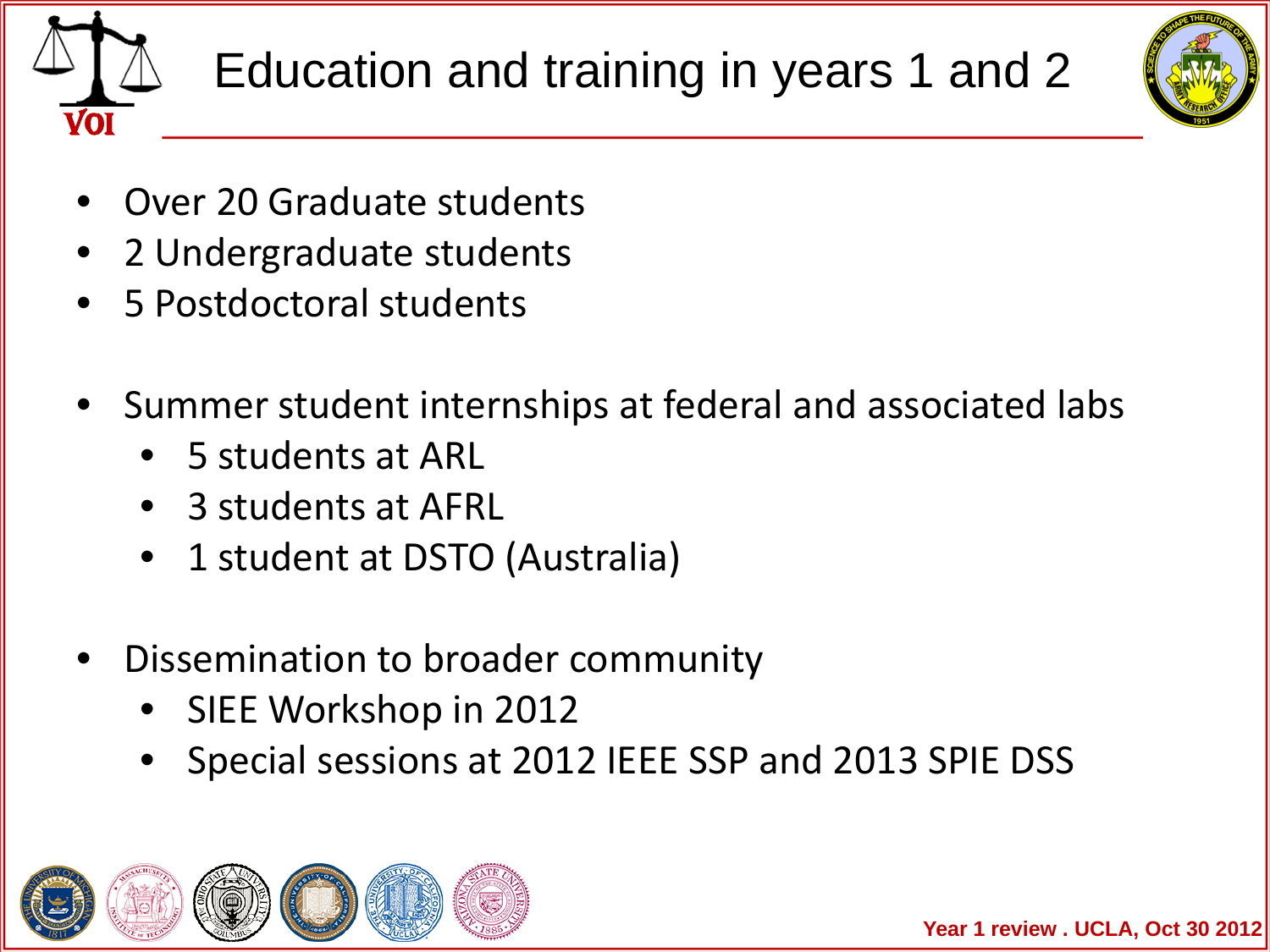



- Over 20 Graduate students
- 2 Undergraduate students
- 5 Postdoctoral students
- Summer student internships at federal and associated labs
	- 5 students at ARL
	- 3 students at AFRL
	- 1 student at DSTO (Australia)
- Dissemination to broader community
	- SIEE Workshop in 2012
	- Special sessions at 2012 IEEE SSP and 2013 SPIE DSS

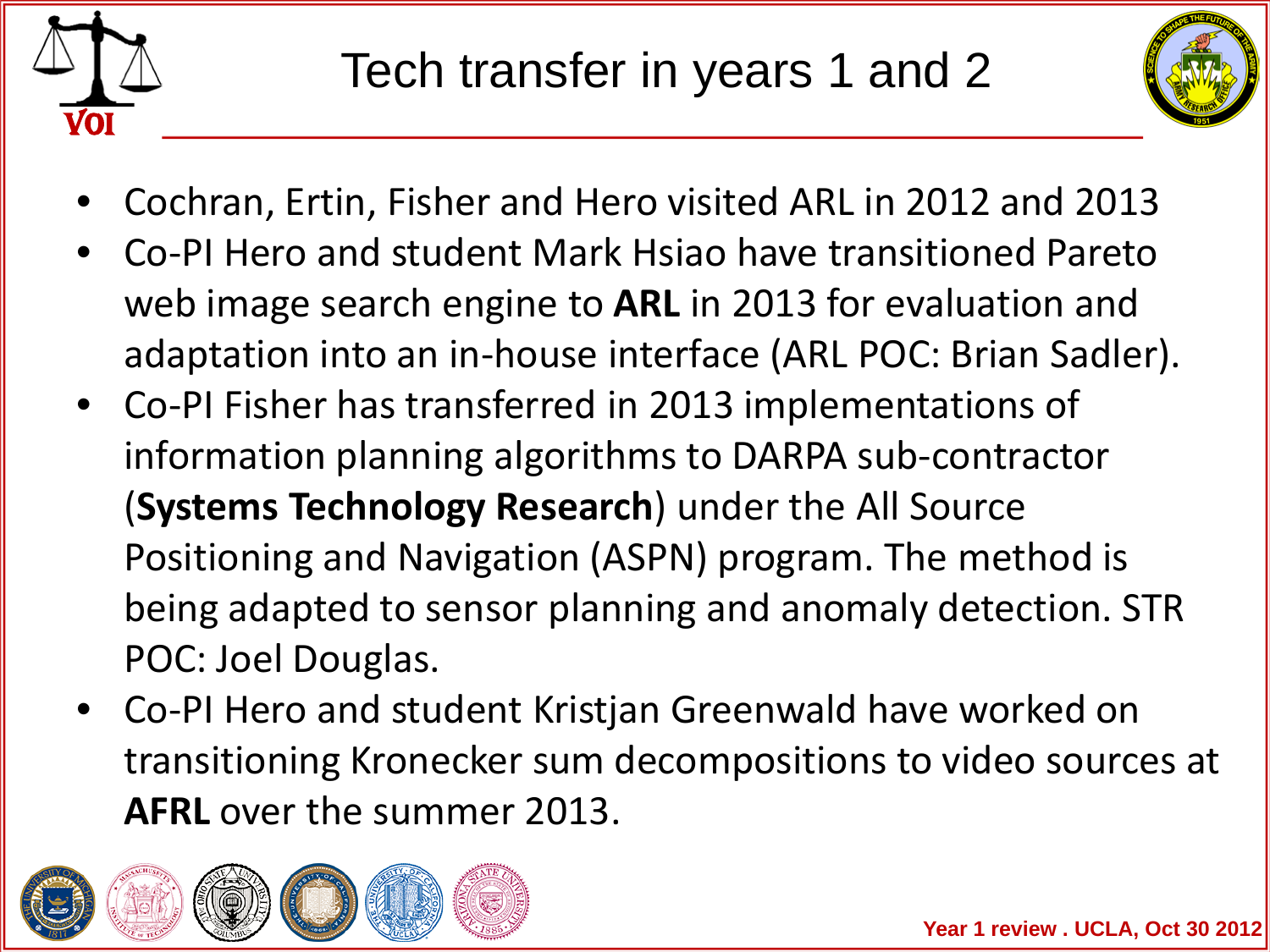



- Cochran, Ertin, Fisher and Hero visited ARL in 2012 and 2013
- Co-PI Hero and student Mark Hsiao have transitioned Pareto web image search engine to **ARL** in 2013 for evaluation and adaptation into an in-house interface (ARL POC: Brian Sadler).
- Co-PI Fisher has transferred in 2013 implementations of information planning algorithms to DARPA sub-contractor (**Systems Technology Research**) under the All Source Positioning and Navigation (ASPN) program. The method is being adapted to sensor planning and anomaly detection. STR POC: Joel Douglas.
- Co-PI Hero and student Kristjan Greenwald have worked on transitioning Kronecker sum decompositions to video sources at **AFRL** over the summer 2013.

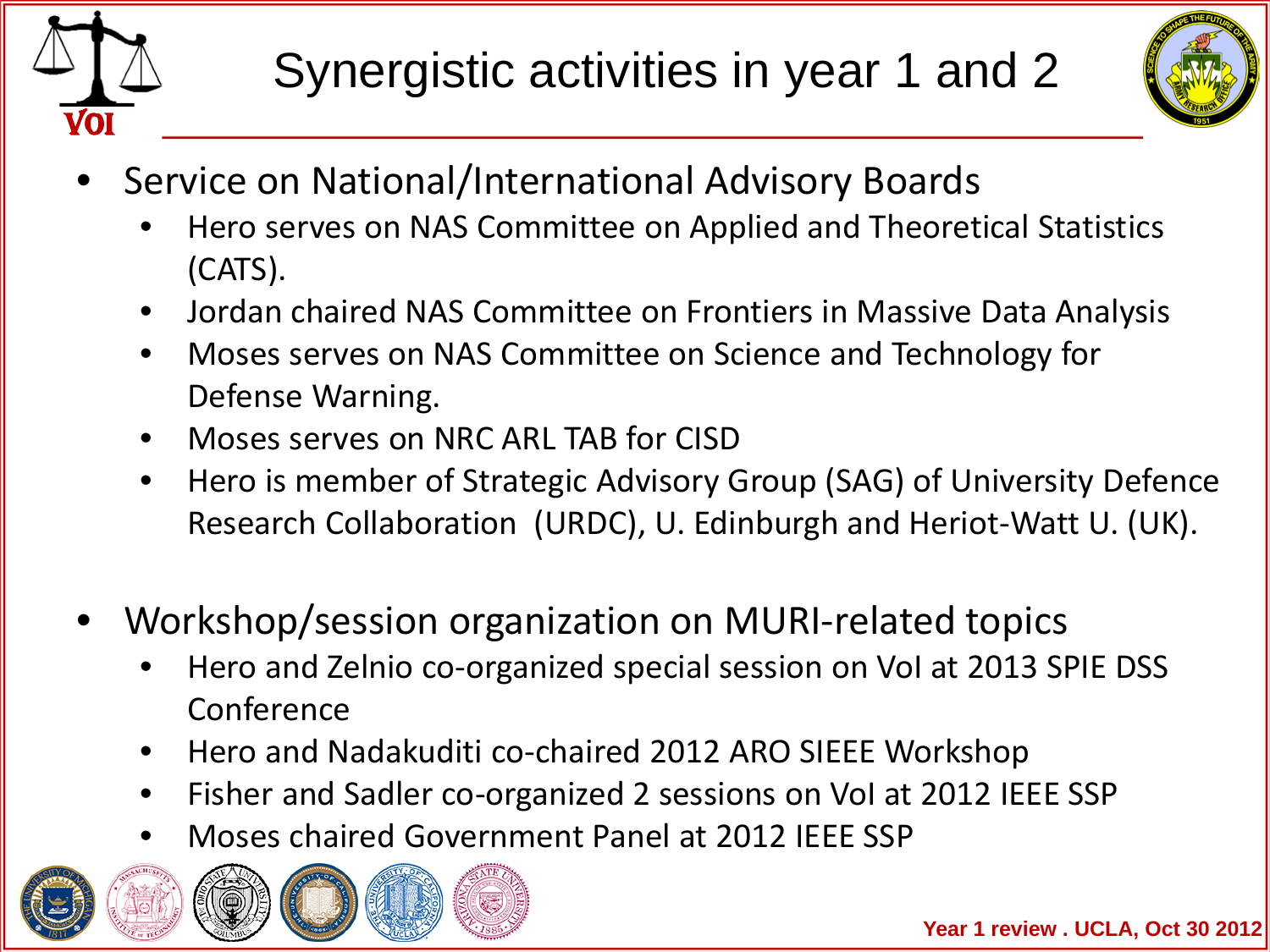



- Service on National/International Advisory Boards
	- Hero serves on NAS Committee on Applied and Theoretical Statistics (CATS).
	- Jordan chaired NAS Committee on Frontiers in Massive Data Analysis
	- Moses serves on NAS Committee on Science and Technology for Defense Warning.
	- Moses serves on NRC ARL TAB for CISD
	- Hero is member of Strategic Advisory Group (SAG) of University Defence Research Collaboration (URDC), U. Edinburgh and Heriot-Watt U. (UK).
- Workshop/session organization on MURI-related topics
	- Hero and Zelnio co-organized special session on VoI at 2013 SPIE DSS Conference
	- Hero and Nadakuditi co-chaired 2012 ARO SIEEE Workshop
	- Fisher and Sadler co-organized 2 sessions on VoI at 2012 IEEE SSP
	- Moses chaired Government Panel at 2012 IEEE SSP